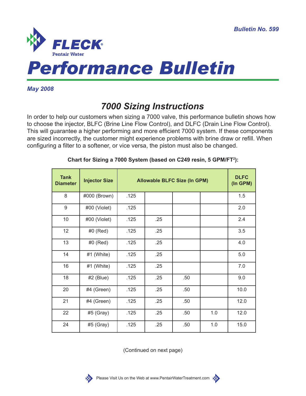

*Performance Bulletin*

## *May 2008*

## *7000 Sizing Instructions*

In order to help our customers when sizing a 7000 valve, this performance bulletin shows how to choose the injector, BLFC (Brine Line Flow Control), and DLFC (Drain Line Flow Control). This will guarantee a higher performing and more efficient 7000 system. If these components are sized incorrectly, the customer might experience problems with brine draw or refill. When configuring a filter to a softener, or vice versa, the piston must also be changed.

| <b>Tank</b><br><b>Diameter</b> | <b>Injector Size</b> | <b>Allowable BLFC Size (In GPM)</b> |     |     |     | <b>DLFC</b><br>(In GPM) |
|--------------------------------|----------------------|-------------------------------------|-----|-----|-----|-------------------------|
| 8                              | #000 (Brown)         | .125                                |     |     |     | 1.5                     |
| 9                              | #00 (Violet)         | .125                                |     |     |     | 2.0                     |
| 10                             | #00 (Violet)         | .125                                | .25 |     |     | 2.4                     |
| 12                             | $#0$ (Red)           | .125                                | .25 |     |     | 3.5                     |
| 13                             | #0 (Red)             | .125                                | .25 |     |     | 4.0                     |
| 14                             | #1 (White)           | .125                                | .25 |     |     | 5.0                     |
| 16                             | #1 (White)           | .125                                | .25 |     |     | 7.0                     |
| 18                             | $#2$ (Blue)          | .125                                | .25 | .50 |     | 9.0                     |
| 20                             | #4 (Green)           | .125                                | .25 | .50 |     | 10.0                    |
| 21                             | #4 (Green)           | .125                                | .25 | .50 |     | 12.0                    |
| 22                             | $#5$ (Gray)          | .125                                | .25 | .50 | 1.0 | 12.0                    |
| 24                             | $#5$ (Gray)          | .125                                | .25 | .50 | 1.0 | 15.0                    |

## **Chart for Sizing a 7000 System (based on C249 resin, 5 GPM/FT<sup>2</sup> ):**

(Continued on next page)